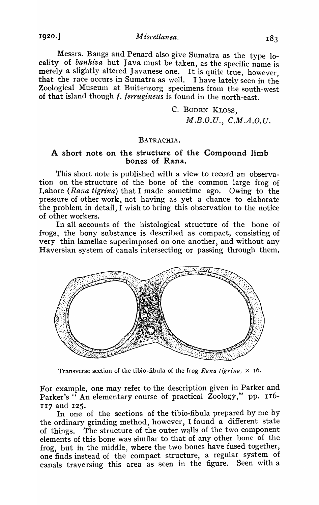1920.] *Miscellanea.* 

Messrs. Bangs and Penard also give Sumatra as the type 10cality of bankiva but Java must be taken, as the specific name is merely a slightly altered Javanese one. It is quite true, however, that the race occurs in Sumatra as well. I have lately seen in the Zoological Museum at Buitenzorg specimens from the south-west of that island though *f. ferrugineus* is found in the north-east.

> C. BODEN KLOSS, *M.B.O.U., C.NI.A.O.U.*

## BATRACHIA.

## A short note on the structure of the Compound limb bones of Rana.

This short note is published with a view to record an observation on the structure of the bone of the common large frog of Lahore *(Rana tigrina)* that I made sometime ago. Owing to the pressure of other work, not having as ,yet a chance to elaborate the problem in detail, I wish to bring this observation to the notice of other workers.

In all accounts of the histological structure of the bone of frogs, the bony substance is described as compact, consisting of very thin lamellae superimposed on one another, and without any Haversian system of canals intersecting or passing through them.



Transverse section of the tibio-fibula of the frog *Rana tigrina*,  $\times$  16.

For example, one may refer to the description given in Parker and Parker's " An elementary course of practical Zoology," pp. 116-117 and I25.

In one of the sections of the tibio-fibula prepared by me by the ordinary grinding method, however, I found a different state of things. The structure of the outer walls of the two component elements of this bone was similar to that of any other bone of the frog, but in the middle, where the two bones have fused together, one finds instead of the compact structure, a regular system of canals traversing this area as seen in the figure. Seen with a